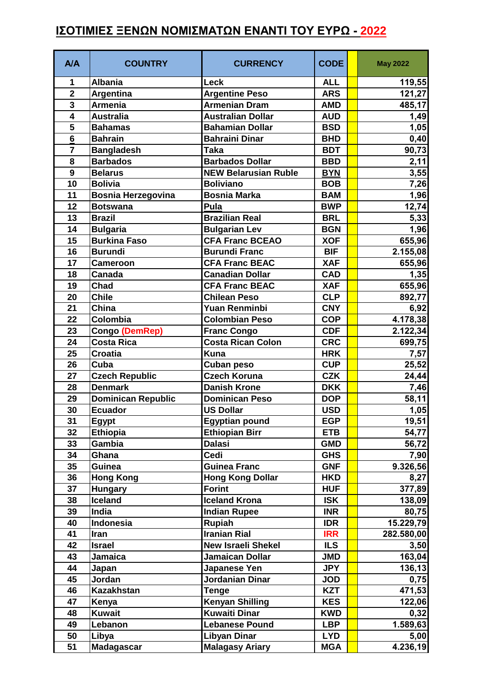## **ΙΣΟΤΙΜΙΕΣ ΞΕΝΩΝ ΝΟΜΙΣΜΑΤΩΝ ΕΝΑΝΤΙ ΤΟΥ ΕΥΡΩ - 2022**

| A/A                     | <b>COUNTRY</b>            | <b>CURRENCY</b>             | <b>CODE</b> | <b>May 2022</b>     |
|-------------------------|---------------------------|-----------------------------|-------------|---------------------|
| 1                       | <b>Albania</b>            | Leck                        | <b>ALL</b>  | 119,55              |
| $\mathbf{2}$            | Argentina                 | <b>Argentine Peso</b>       | <b>ARS</b>  | 121,27              |
| $\overline{\mathbf{3}}$ | <b>Armenia</b>            | <b>Armenian Dram</b>        | <b>AMD</b>  | 485,17              |
| $\overline{\mathbf{4}}$ | <b>Australia</b>          | <b>Australian Dollar</b>    | <b>AUD</b>  | 1,49                |
| 5                       | <b>Bahamas</b>            | <b>Bahamian Dollar</b>      | <b>BSD</b>  | 1,05                |
| 6                       | <b>Bahrain</b>            | <b>Bahraini Dinar</b>       | <b>BHD</b>  | 0,40                |
| $\overline{7}$          | <b>Bangladesh</b>         | <b>Taka</b>                 | <b>BDT</b>  | 90,73               |
| 8                       | <b>Barbados</b>           | <b>Barbados Dollar</b>      | <b>BBD</b>  | 2,11                |
| $\mathbf{9}$            | <b>Belarus</b>            | <b>NEW Belarusian Ruble</b> | <b>BYN</b>  | 3,55                |
| 10                      | <b>Bolivia</b>            | <b>Boliviano</b>            | <b>BOB</b>  | 7,26                |
| 11                      | <b>Bosnia Herzegovina</b> | <b>Bosnia Marka</b>         | <b>BAM</b>  | 1,96                |
| 12                      | <b>Botswana</b>           | Pula                        | <b>BWP</b>  | 12,74               |
| 13                      | <b>Brazil</b>             | <b>Brazilian Real</b>       | <b>BRL</b>  | 5,33                |
| 14                      | <b>Bulgaria</b>           | <b>Bulgarian Lev</b>        | <b>BGN</b>  | 1,96                |
| 15                      | <b>Burkina Faso</b>       | <b>CFA Franc BCEAO</b>      | <b>XOF</b>  | 655,96              |
| 16                      | <b>Burundi</b>            | <b>Burundi Franc</b>        | <b>BIF</b>  | 2.155,08            |
| 17                      | <b>Cameroon</b>           | <b>CFA Franc BEAC</b>       | <b>XAF</b>  | 655,96              |
| 18                      | Canada                    | <b>Canadian Dollar</b>      | <b>CAD</b>  | 1,35                |
| 19                      | Chad                      | <b>CFA Franc BEAC</b>       | <b>XAF</b>  | 655,96              |
| 20                      | <b>Chile</b>              | <b>Chilean Peso</b>         | <b>CLP</b>  | 892,77              |
| 21                      | China                     | Yuan Renminbi               | <b>CNY</b>  | 6,92                |
| 22                      | Colombia                  | Colombian Peso              | <b>COP</b>  | 4.178,38            |
| 23                      | Congo (DemRep)            | <b>Franc Congo</b>          | <b>CDF</b>  | 2.122,34            |
| 24                      | <b>Costa Rica</b>         | Costa Rican Colon           | <b>CRC</b>  | 699,75              |
| 25                      | <b>Croatia</b>            | <b>Kuna</b>                 | <b>HRK</b>  | 7,57                |
| 26                      | Cuba                      | <b>Cuban peso</b>           | <b>CUP</b>  | 25,52               |
| 27                      | <b>Czech Republic</b>     | <b>Czech Koruna</b>         | <b>CZK</b>  | 24,44               |
| 28                      | <b>Denmark</b>            | <b>Danish Krone</b>         | <b>DKK</b>  | 7,46                |
| 29                      | Dominican Republic        | Dominican Peso              | <b>DOP</b>  | 58,11               |
| 30                      | <b>Ecuador</b>            | <b>US Dollar</b>            | <b>USD</b>  | 1,05                |
| 31                      | <b>Egypt</b>              | <b>Egyptian pound</b>       | <b>EGP</b>  | 19,51               |
| 32                      | <b>Ethiopia</b>           | <b>Ethiopian Birr</b>       | <b>ETB</b>  | 54,77               |
| 33                      | Gambia                    | <b>Dalasi</b>               | <b>GMD</b>  | 56,72               |
| 34                      | Ghana                     | Cedi                        | <b>GHS</b>  | 7,90                |
| 35                      | Guinea                    | <b>Guinea Franc</b>         | <b>GNF</b>  | 9.326,56            |
| 36                      | <b>Hong Kong</b>          | <b>Hong Kong Dollar</b>     | <b>HKD</b>  | 8,27                |
| 37                      | <b>Hungary</b>            | <b>Forint</b>               | <b>HUF</b>  | 377,89              |
| 38                      | Iceland                   | <b>Iceland Krona</b>        | <b>ISK</b>  | 138,09              |
| 39                      | India                     | <b>Indian Rupee</b>         | <b>INR</b>  | 80,75               |
| 40                      | Indonesia                 | <b>Rupiah</b>               | <b>IDR</b>  | 15.229,79           |
| 41                      | Iran                      | <b>Iranian Rial</b>         | <b>IRR</b>  | 282.580,00          |
| 42                      | <b>Israel</b>             | <b>New Israeli Shekel</b>   | <b>ILS</b>  | 3,50                |
| 43                      | Jamaica                   | Jamaican Dollar             | <b>JMD</b>  | 163,04              |
| 44                      | Japan                     | Japanese Yen                | <b>JPY</b>  | $\overline{1}36,13$ |
| 45                      | Jordan                    | Jordanian Dinar             | <b>JOD</b>  | 0,75                |
| 46                      | <b>Kazakhstan</b>         | Tenge                       | <b>KZT</b>  | 471,53              |
| 47                      | Kenya                     | <b>Kenyan Shilling</b>      | <b>KES</b>  | 122,06              |
| 48                      | <b>Kuwait</b>             | <b>Kuwaiti Dinar</b>        | <b>KWD</b>  | 0,32                |
| 49                      | Lebanon                   | <b>Lebanese Pound</b>       | <b>LBP</b>  | 1.589,63            |
| 50                      | Libya                     | <b>Libyan Dinar</b>         | <b>LYD</b>  | 5,00                |
| 51                      | <b>Madagascar</b>         | <b>Malagasy Ariary</b>      | <b>MGA</b>  | 4.236,19            |
|                         |                           |                             |             |                     |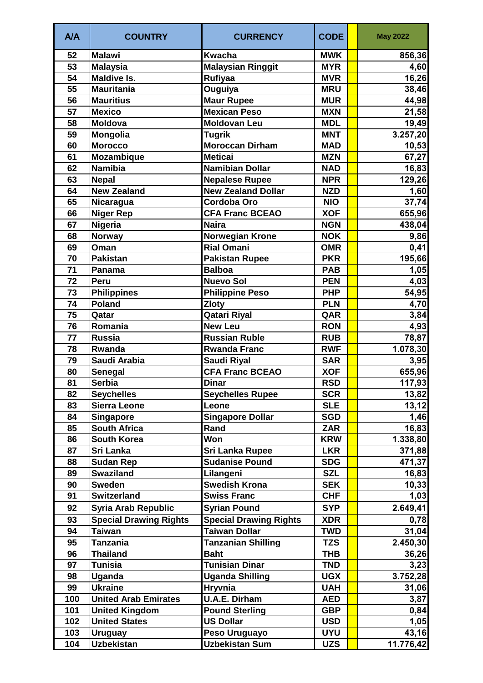| A/A             | <b>COUNTRY</b>                | <b>CURRENCY</b>               | <b>CODE</b> | <b>May 2022</b> |
|-----------------|-------------------------------|-------------------------------|-------------|-----------------|
| 52              | <b>Malawi</b>                 | <b>Kwacha</b>                 | <b>MWK</b>  | 856,36          |
| 53              | <b>Malaysia</b>               | <b>Malaysian Ringgit</b>      | <b>MYR</b>  | 4,60            |
| $\overline{54}$ | <b>Maldive Is.</b>            | Rufiyaa                       | <b>MVR</b>  | 16,26           |
| 55              | <b>Mauritania</b>             | Ouguiya                       | <b>MRU</b>  | 38,46           |
| 56              | <b>Mauritius</b>              | <b>Maur Rupee</b>             | <b>MUR</b>  | 44,98           |
| 57              | <b>Mexico</b>                 | <b>Mexican Peso</b>           | <b>MXN</b>  | 21,58           |
| 58              | <b>Moldova</b>                | <b>Moldovan Leu</b>           | <b>MDL</b>  | 19,49           |
| 59              | <b>Mongolia</b>               | <b>Tugrik</b>                 | <b>MNT</b>  | 3.257,20        |
| 60              | <b>Morocco</b>                | <b>Moroccan Dirham</b>        | <b>MAD</b>  | 10,53           |
| 61              | <b>Mozambique</b>             | <b>Meticai</b>                | <b>MZN</b>  | 67,27           |
| 62              | <b>Namibia</b>                | <b>Namibian Dollar</b>        | <b>NAD</b>  | 16,83           |
| 63              | <b>Nepal</b>                  | <b>Nepalese Rupee</b>         | <b>NPR</b>  | 129,26          |
| 64              | <b>New Zealand</b>            | <b>New Zealand Dollar</b>     | <b>NZD</b>  | 1,60            |
| 65              | Nicaragua                     | <b>Cordoba Oro</b>            | <b>NIO</b>  | 37,74           |
| 66              | <b>Niger Rep</b>              | <b>CFA Franc BCEAO</b>        | <b>XOF</b>  | 655,96          |
| 67              | <b>Nigeria</b>                | <b>Naira</b>                  | <b>NGN</b>  | 438,04          |
| 68              | <b>Norway</b>                 | <b>Norwegian Krone</b>        | <b>NOK</b>  | 9,86            |
| 69              | Oman                          | <b>Rial Omani</b>             | <b>OMR</b>  | 0,41            |
| 70              | <b>Pakistan</b>               | <b>Pakistan Rupee</b>         | <b>PKR</b>  | 195,66          |
| 71              | Panama                        | <b>Balboa</b>                 | <b>PAB</b>  | 1,05            |
| 72              | Peru                          | <b>Nuevo Sol</b>              | <b>PEN</b>  | 4,03            |
| 73              | <b>Philippines</b>            | <b>Philippine Peso</b>        | <b>PHP</b>  | 54,95           |
| 74              | <b>Poland</b>                 | <b>Zloty</b>                  | <b>PLN</b>  | 4,70            |
| 75              | Qatar                         | <b>Qatari Riyal</b>           | QAR         | 3,84            |
| 76              | Romania                       | <b>New Leu</b>                | <b>RON</b>  | 4,93            |
| 77              | <b>Russia</b>                 | <b>Russian Ruble</b>          | <b>RUB</b>  | 78,87           |
| 78              | Rwanda                        | <b>Rwanda Franc</b>           | <b>RWF</b>  | 1.078,30        |
| 79              | Saudi Arabia                  | Saudi Riyal                   | <b>SAR</b>  | 3,95            |
| 80              | Senegal                       | <b>CFA Franc BCEAO</b>        | <b>XOF</b>  | 655,96          |
| 81              | <b>Serbia</b>                 | <b>Dinar</b>                  | <b>RSD</b>  | 117,93          |
| 82              | <b>Seychelles</b>             | <b>Seychelles Rupee</b>       | <b>SCR</b>  | 13,82           |
| 83              | <b>Sierra Leone</b>           | Leone                         | <b>SLE</b>  | 13,12           |
| 84              | <b>Singapore</b>              | <b>Singapore Dollar</b>       | <b>SGD</b>  | 1,46            |
| 85              | <b>South Africa</b>           | Rand                          | <b>ZAR</b>  | 16,83           |
| 86              | <b>South Korea</b>            | Won                           | <b>KRW</b>  | 1.338,80        |
| 87              | Sri Lanka                     | <b>Sri Lanka Rupee</b>        | <b>LKR</b>  | 371,88          |
| 88              | <b>Sudan Rep</b>              | <b>Sudanise Pound</b>         | <b>SDG</b>  | 471,37          |
| 89              | <b>Swaziland</b>              | Lilangeni                     | <b>SZL</b>  |                 |
| 90              | <b>Sweden</b>                 | <b>Swedish Krona</b>          | <b>SEK</b>  | 16,83<br>10,33  |
| 91              | <b>Switzerland</b>            | <b>Swiss Franc</b>            | <b>CHF</b>  | 1,03            |
|                 |                               |                               |             |                 |
| 92              | Syria Arab Republic           | <b>Syrian Pound</b>           | <b>SYP</b>  | 2.649,41        |
| 93              | <b>Special Drawing Rights</b> | <b>Special Drawing Rights</b> | <b>XDR</b>  | 0,78            |
| 94              | <b>Taiwan</b>                 | <b>Taiwan Dollar</b>          | <b>TWD</b>  | 31,04           |
| 95              | Tanzania                      | <b>Tanzanian Shilling</b>     | <b>TZS</b>  | 2.450,30        |
| 96              | <b>Thailand</b>               | <b>Baht</b>                   | THB         | 36,26           |
| 97              | Tunisia                       | <b>Tunisian Dinar</b>         | <b>TND</b>  | 3,23            |
| 98              | Uganda                        | <b>Uganda Shilling</b>        | <b>UGX</b>  | 3.752,28        |
| 99              | <b>Ukraine</b>                | <b>Hryvnia</b>                | <b>UAH</b>  | 31,06           |
| 100             | <b>United Arab Emirates</b>   | <b>U.A.E. Dirham</b>          | <b>AED</b>  | 3,87            |
| 101             | <b>United Kingdom</b>         | <b>Pound Sterling</b>         | <b>GBP</b>  | 0,84            |
| 102             | <b>United States</b>          | <b>US Dollar</b>              | <b>USD</b>  | 1,05            |
| 103             | <b>Uruguay</b>                | Peso Uruguayo                 | <b>UYU</b>  | 43,16           |
| 104             | <b>Uzbekistan</b>             | <b>Uzbekistan Sum</b>         | <b>UZS</b>  | 11.776,42       |